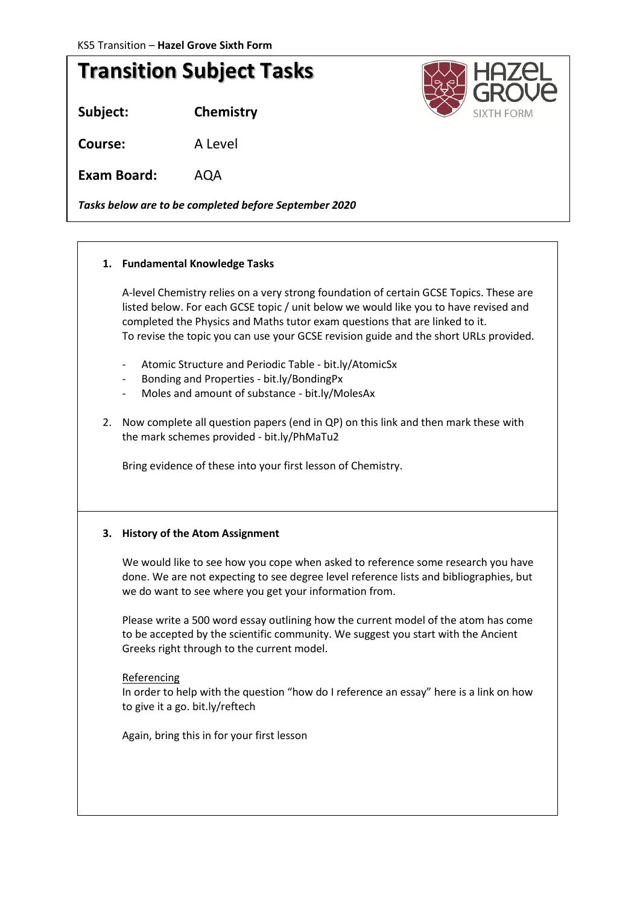# **Transition Subject Tasks**

**Subject: Chemistry**

**Course:** A Level

**Exam Board:** AQA

*Tasks below are to be completed before September 2020*

## **1. Fundamental Knowledge Tasks**

A-level Chemistry relies on a very strong foundation of certain GCSE Topics. These are listed below. For each GCSE topic / unit below we would like you to have revised and completed the Physics and Maths tutor exam questions that are linked to it. To revise the topic you can use your GCSE revision guide and the short URLs provided.

- Atomic Structure and Periodic Table bit.ly/AtomicSx
- Bonding and Properties bit.ly/BondingPx
- Moles and amount of substance bit.ly/MolesAx
- 2. Now complete all question papers (end in QP) on this link and then mark these with the mark schemes provided - bit.ly/PhMaTu2

Bring evidence of these into your first lesson of Chemistry.

## **3. History of the Atom Assignment**

We would like to see how you cope when asked to reference some research you have done. We are not expecting to see degree level reference lists and bibliographies, but we do want to see where you get your information from.

Please write a 500 word essay outlining how the current model of the atom has come to be accepted by the scientific community. We suggest you start with the Ancient Greeks right through to the current model.

#### Referencing

In order to help with the question "how do I reference an essay" here is a link on how to give it a go. bit.ly/reftech

Again, bring this in for your first lesson